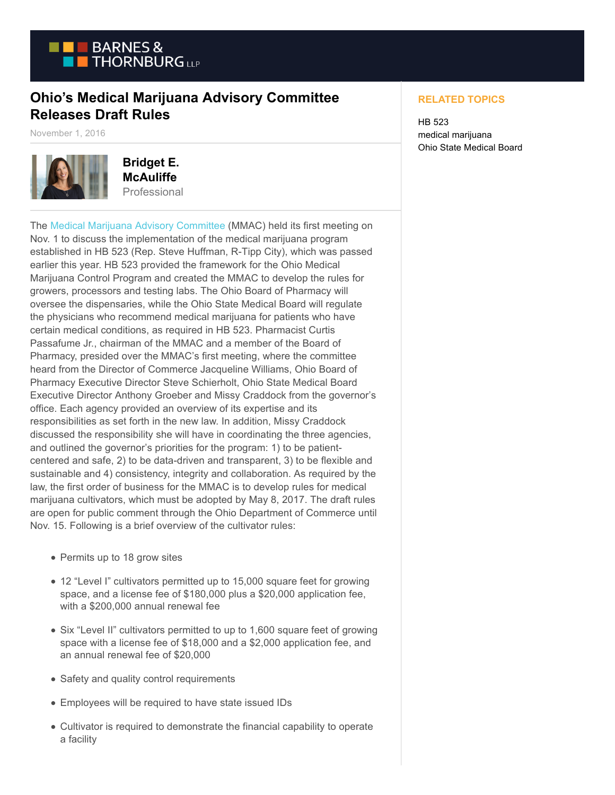

## **Ohio's Medical Marijuana Advisory Committee Releases Draft Rules**

November 1, 2016



**Bridget E. McAuliffe** Professional

The [Medical Marijuana Advisory Committee](http://www.medicalmarijuana.ohio.gov/advisory-committee) (MMAC) held its first meeting on Nov. 1 to discuss the implementation of the medical marijuana program established in HB 523 (Rep. Steve Huffman, R-Tipp City), which was passed earlier this year. HB 523 provided the framework for the Ohio Medical Marijuana Control Program and created the MMAC to develop the rules for growers, processors and testing labs. The Ohio Board of Pharmacy will oversee the dispensaries, while the Ohio State Medical Board will regulate the physicians who recommend medical marijuana for patients who have certain medical conditions, as required in HB 523. Pharmacist Curtis Passafume Jr., chairman of the MMAC and a member of the Board of Pharmacy, presided over the MMAC's first meeting, where the committee heard from the Director of Commerce Jacqueline Williams, Ohio Board of Pharmacy Executive Director Steve Schierholt, Ohio State Medical Board Executive Director Anthony Groeber and Missy Craddock from the governor's office. Each agency provided an overview of its expertise and its responsibilities as set forth in the new law. In addition, Missy Craddock discussed the responsibility she will have in coordinating the three agencies, and outlined the governor's priorities for the program: 1) to be patientcentered and safe, 2) to be data-driven and transparent, 3) to be flexible and sustainable and 4) consistency, integrity and collaboration. As required by the law, the first order of business for the MMAC is to develop rules for medical marijuana cultivators, which must be adopted by May 8, 2017. The draft rules are open for public comment through the Ohio Department of Commerce until Nov. 15. Following is a brief overview of the cultivator rules:

- Permits up to 18 grow sites
- 12 "Level I" cultivators permitted up to 15,000 square feet for growing space, and a license fee of \$180,000 plus a \$20,000 application fee, with a \$200,000 annual renewal fee
- Six "Level II" cultivators permitted to up to 1,600 square feet of growing space with a license fee of \$18,000 and a \$2,000 application fee, and an annual renewal fee of \$20,000
- Safety and quality control requirements
- Employees will be required to have state issued IDs
- Cultivator is required to demonstrate the financial capability to operate a facility

## **RELATED TOPICS**

HB 523 medical marijuana Ohio State Medical Board